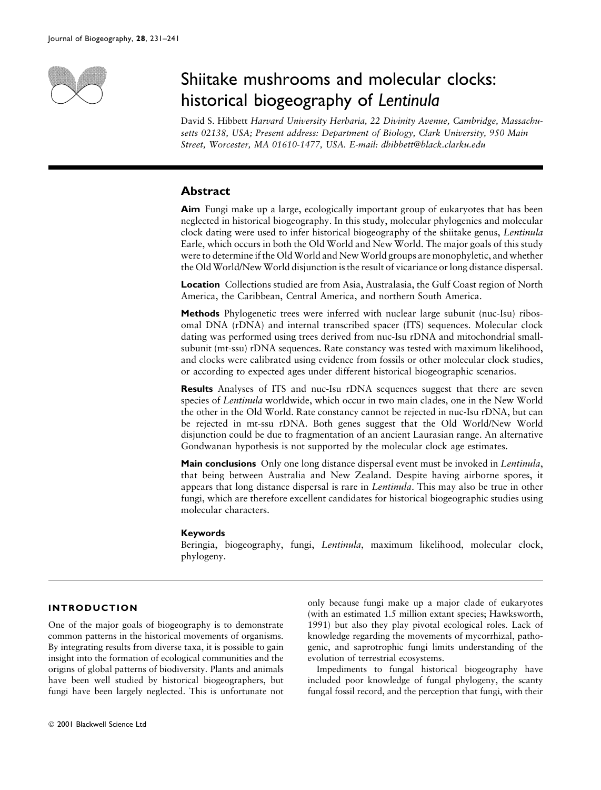

# Shiitake mushrooms and molecular clocks: historical biogeography of Lentinula

David S. Hibbett Harvard University Herbaria, 22 Divinity Avenue, Cambridge, Massachusetts 02138, USA; Present address: Department of Biology, Clark University, 950 Main Street, Worcester, MA 01610-1477, USA, E-mail: dhibbett@black.clarku.edu

# **Abstract**

**Aim** Fungi make up a large, ecologically important group of eukaryotes that has been neglected in historical biogeography. In this study, molecular phylogenies and molecular clock dating were used to infer historical biogeography of the shiitake genus, *Lentinula* Earle, which occurs in both the Old World and New World. The major goals of this study were to determine if the Old World and New World groups are monophyletic, and whether the Old World/New World disjunction is the result of vicariance or long distance dispersal.

**Location** Collections studied are from Asia, Australasia, the Gulf Coast region of North America, the Caribbean, Central America, and northern South America.

**Methods** Phylogenetic trees were inferred with nuclear large subunit (nuc-Isu) ribosomal DNA (rDNA) and internal transcribed spacer (ITS) sequences. Molecular clock dating was performed using trees derived from nuc-Isu rDNA and mitochondrial smallsubunit (mt-ssu) rDNA sequences. Rate constancy was tested with maximum likelihood, and clocks were calibrated using evidence from fossils or other molecular clock studies, or according to expected ages under different historical biogeographic scenarios.

**Results** Analyses of ITS and nuc-Isu rDNA sequences suggest that there are seven species of *Lentinula* worldwide, which occur in two main clades, one in the New World the other in the Old World. Rate constancy cannot be rejected in nuc-Isu rDNA, but can be rejected in mt-ssu rDNA. Both genes suggest that the Old World/New World disjunction could be due to fragmentation of an ancient Laurasian range. An alternative Gondwanan hypothesis is not supported by the molecular clock age estimates.

**Main conclusions** Only one long distance dispersal event must be invoked in *Lentinula*, that being between Australia and New Zealand. Despite having airborne spores, it appears that long distance dispersal is rare in *Lentinula*. This may also be true in other fungi, which are therefore excellent candidates for historical biogeographic studies using molecular characters.

# **Keywords**

Beringia, biogeography, fungi, Lentinula, maximum likelihood, molecular clock, phylogeny.

# **INTRODUCTION**

One of the major goals of biogeography is to demonstrate common patterns in the historical movements of organisms. By integrating results from diverse taxa, it is possible to gain insight into the formation of ecological communities and the origins of global patterns of biodiversity. Plants and animals have been well studied by historical biogeographers, but fungi have been largely neglected. This is unfortunate not

only because fungi make up a major clade of eukaryotes (with an estimated 1.5 million extant species; Hawksworth, 1991) but also they play pivotal ecological roles. Lack of knowledge regarding the movements of mycorrhizal, pathogenic, and saprotrophic fungi limits understanding of the evolution of terrestrial ecosystems.

Impediments to fungal historical biogeography have included poor knowledge of fungal phylogeny, the scanty fungal fossil record, and the perception that fungi, with their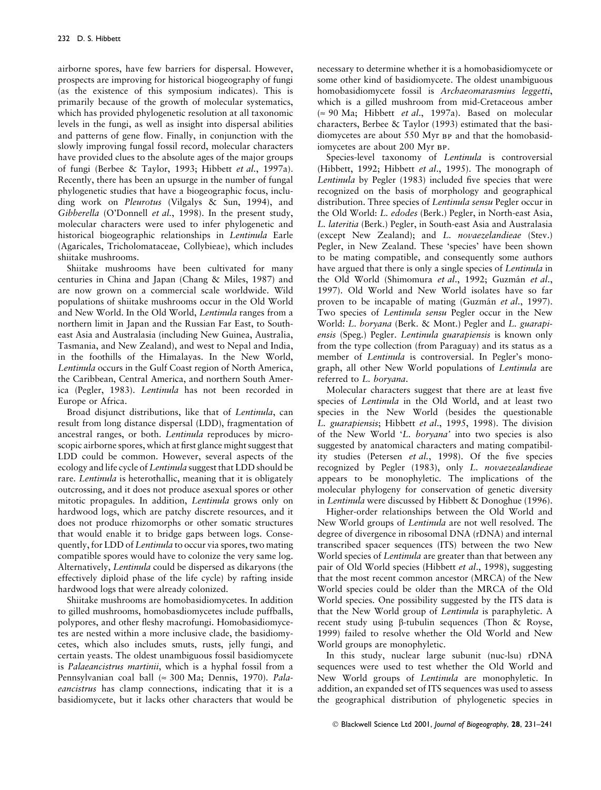airborne spores, have few barriers for dispersal. However, prospects are improving for historical biogeography of fungi (as the existence of this symposium indicates). This is primarily because of the growth of molecular systematics, which has provided phylogenetic resolution at all taxonomic levels in the fungi, as well as insight into dispersal abilities and patterns of gene flow. Finally, in conjunction with the slowly improving fungal fossil record, molecular characters have provided clues to the absolute ages of the major groups of fungi (Berbee & Taylor, 1993; Hibbett et al., 1997a). Recently, there has been an upsurge in the number of fungal phylogenetic studies that have a biogeographic focus, including work on *Pleurotus* (Vilgalys & Sun, 1994), and Gibberella (O'Donnell et al., 1998). In the present study, molecular characters were used to infer phylogenetic and historical biogeographic relationships in Lentinula Earle (Agaricales, Tricholomataceae, Collybieae), which includes shiitake mushrooms.

Shiitake mushrooms have been cultivated for many centuries in China and Japan (Chang & Miles, 1987) and are now grown on a commercial scale worldwide. Wild populations of shiitake mushrooms occur in the Old World and New World. In the Old World, Lentinula ranges from a northern limit in Japan and the Russian Far East, to Southeast Asia and Australasia (including New Guinea, Australia, Tasmania, and New Zealand), and west to Nepal and India, in the foothills of the Himalayas. In the New World, Lentinula occurs in the Gulf Coast region of North America, the Caribbean, Central America, and northern South America (Pegler, 1983). Lentinula has not been recorded in Europe or Africa.

Broad disjunct distributions, like that of Lentinula, can result from long distance dispersal (LDD), fragmentation of ancestral ranges, or both. *Lentinula* reproduces by microscopic airborne spores, which at first glance might suggest that LDD could be common. However, several aspects of the ecology and life cycle of Lentinula suggest that LDD should be rare. *Lentinula* is heterothallic, meaning that it is obligately outcrossing, and it does not produce asexual spores or other mitotic propagules. In addition, Lentinula grows only on hardwood logs, which are patchy discrete resources, and it does not produce rhizomorphs or other somatic structures that would enable it to bridge gaps between logs. Consequently, for LDD of *Lentinula* to occur via spores, two mating compatible spores would have to colonize the very same log. Alternatively, *Lentinula* could be dispersed as dikaryons (the effectively diploid phase of the life cycle) by rafting inside hardwood logs that were already colonized.

Shiitake mushrooms are homobasidiomycetes. In addition to gilled mushrooms, homobasdiomycetes include puffballs, polypores, and other fleshy macrofungi. Homobasidiomycetes are nested within a more inclusive clade, the basidiomycetes, which also includes smuts, rusts, jelly fungi, and certain yeasts. The oldest unambiguous fossil basidiomycete is Palaeancistrus martinii, which is a hyphal fossil from a Pennsylvanian coal ball ( $\approx 300$  Ma; Dennis, 1970). Palaeancistrus has clamp connections, indicating that it is a basidiomycete, but it lacks other characters that would be necessary to determine whether it is a homobasidiomycete or some other kind of basidiomycete. The oldest unambiguous homobasidiomycete fossil is Archaeomarasmius leggetti, which is a gilled mushroom from mid-Cretaceous amber  $\approx 90$  Ma; Hibbett et al., 1997a). Based on molecular characters, Berbee & Taylor (1993) estimated that the basidiomycetes are about 550 Myr BP and that the homobasidiomycetes are about 200 Myr BP.

Species-level taxonomy of *Lentinula* is controversial (Hibbett, 1992; Hibbett et al., 1995). The monograph of Lentinula by Pegler (1983) included five species that were recognized on the basis of morphology and geographical distribution. Three species of *Lentinula sensu* Pegler occur in the Old World: L. edodes (Berk.) Pegler, in North-east Asia, L. lateritia (Berk.) Pegler, in South-east Asia and Australasia (except New Zealand); and L. novaezelandieae (Stev.) Pegler, in New Zealand. These 'species' have been shown to be mating compatible, and consequently some authors have argued that there is only a single species of *Lentinula* in the Old World (Shimomura et al., 1992; Guzmán et al., 1997). Old World and New World isolates have so far proven to be incapable of mating (Guzmán et al., 1997). Two species of Lentinula sensu Pegler occur in the New World: L. borvana (Berk. & Mont.) Pegler and L. guarapiensis (Speg.) Pegler. Lentinula guarapiensis is known only from the type collection (from Paraguay) and its status as a member of Lentinula is controversial. In Pegler's monograph, all other New World populations of Lentinula are referred to L. borvana.

Molecular characters suggest that there are at least five species of Lentinula in the Old World, and at least two species in the New World (besides the questionable L. guarapiensis; Hibbett et al., 1995, 1998). The division of the New World 'L. borvana' into two species is also suggested by anatomical characters and mating compatibility studies (Petersen et al., 1998). Of the five species recognized by Pegler (1983), only L. novaezealandieae appears to be monophyletic. The implications of the molecular phylogeny for conservation of genetic diversity in Lentinula were discussed by Hibbett & Donoghue (1996).

Higher-order relationships between the Old World and New World groups of Lentinula are not well resolved. The degree of divergence in ribosomal DNA (rDNA) and internal transcribed spacer sequences (ITS) between the two New World species of Lentinula are greater than that between any pair of Old World species (Hibbett et al., 1998), suggesting that the most recent common ancestor (MRCA) of the New World species could be older than the MRCA of the Old World species. One possibility suggested by the ITS data is that the New World group of Lentinula is paraphyletic. A recent study using β-tubulin sequences (Thon & Royse, 1999) failed to resolve whether the Old World and New World groups are monophyletic.

In this study, nuclear large subunit (nuc-lsu) rDNA sequences were used to test whether the Old World and New World groups of Lentinula are monophyletic. In addition, an expanded set of ITS sequences was used to assess the geographical distribution of phylogenetic species in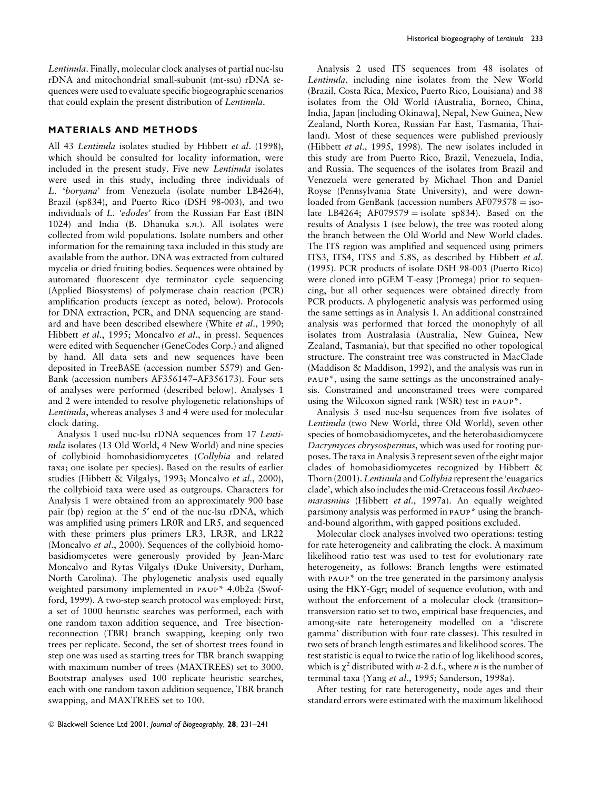*Lentinula*. Finally, molecular clock analyses of partial nuc-lsu rDNA and mitochondrial small-subunit (mt-ssu) rDNA sequences were used to evaluate specific biogeographic scenarios that could explain the present distribution of Lentinula.

# **MATERIALS AND METHODS**

All 43 Lentinula isolates studied by Hibbett et al. (1998), which should be consulted for locality information, were included in the present study. Five new *Lentinula* isolates were used in this study, including three individuals of L. 'boryana' from Venezuela (isolate number LB4264), Brazil (sp834), and Puerto Rico (DSH 98-003), and two individuals of L. 'edodes' from the Russian Far East (BIN 1024) and India (B. Dhanuka s.n.). All isolates were collected from wild populations. Isolate numbers and other information for the remaining taxa included in this study are available from the author. DNA was extracted from cultured mycelia or dried fruiting bodies. Sequences were obtained by automated fluorescent dye terminator cycle sequencing (Applied Biosystems) of polymerase chain reaction (PCR) amplification products (except as noted, below). Protocols for DNA extraction, PCR, and DNA sequencing are standard and have been described elsewhere (White et al., 1990; Hibbett et al., 1995; Moncalvo et al., in press). Sequences were edited with Sequencher (GeneCodes Corp.) and aligned by hand. All data sets and new sequences have been deposited in TreeBASE (accession number S579) and Gen-Bank (accession numbers AF356147-AF356173). Four sets of analyses were performed (described below). Analyses 1 and 2 were intended to resolve phylogenetic relationships of Lentinula, whereas analyses 3 and 4 were used for molecular clock dating.

Analysis 1 used nuc-lsu rDNA sequences from 17 Lentinula isolates (13 Old World, 4 New World) and nine species of collybioid homobasidiomycetes (Collybia and related taxa; one isolate per species). Based on the results of earlier studies (Hibbett & Vilgalys, 1993; Moncalvo et al., 2000), the collybioid taxa were used as outgroups. Characters for Analysis 1 were obtained from an approximately 900 base pair (bp) region at the 5' end of the nuc-lsu rDNA, which was amplified using primers LR0R and LR5, and sequenced with these primers plus primers LR3, LR3R, and LR22 (Moncalvo et al., 2000). Sequences of the collybioid homobasidiomycetes were generously provided by Jean-Marc Moncalvo and Rytas Vilgalys (Duke University, Durham, North Carolina). The phylogenetic analysis used equally weighted parsimony implemented in PAUP\* 4.0b2a (Swofford, 1999). A two-step search protocol was employed: First, a set of 1000 heuristic searches was performed, each with one random taxon addition sequence, and Tree bisectionreconnection (TBR) branch swapping, keeping only two trees per replicate. Second, the set of shortest trees found in step one was used as starting trees for TBR branch swapping with maximum number of trees (MAXTREES) set to 3000. Bootstrap analyses used 100 replicate heuristic searches, each with one random taxon addition sequence, TBR branch swapping, and MAXTREES set to 100.

Analysis 2 used ITS sequences from 48 isolates of Lentinula, including nine isolates from the New World (Brazil, Costa Rica, Mexico, Puerto Rico, Louisiana) and 38 isolates from the Old World (Australia, Borneo, China, India, Japan [including Okinawa], Nepal, New Guinea, New Zealand, North Korea, Russian Far East, Tasmania, Thailand). Most of these sequences were published previously (Hibbett et al., 1995, 1998). The new isolates included in this study are from Puerto Rico, Brazil, Venezuela, India, and Russia. The sequences of the isolates from Brazil and Venezuela were generated by Michael Thon and Daniel Royse (Pennsylvania State University), and were downloaded from GenBank (accession numbers AF079578 = isolate LB4264; AF079579 = isolate sp834). Based on the results of Analysis 1 (see below), the tree was rooted along the branch between the Old World and New World clades. The ITS region was amplified and sequenced using primers ITS3, ITS4, ITS5 and 5.8S, as described by Hibbett et al. (1995). PCR products of isolate DSH 98-003 (Puerto Rico) were cloned into pGEM T-easy (Promega) prior to sequencing, but all other sequences were obtained directly from PCR products. A phylogenetic analysis was performed using the same settings as in Analysis 1. An additional constrained analysis was performed that forced the monophyly of all isolates from Australasia (Australia, New Guinea, New Zealand, Tasmania), but that specified no other topological structure. The constraint tree was constructed in MacClade (Maddison & Maddison, 1992), and the analysis was run in PAUP<sup>\*</sup>, using the same settings as the unconstrained analysis. Constrained and unconstrained trees were compared using the Wilcoxon signed rank (WSR) test in PAUP\*.

Analysis 3 used nuc-lsu sequences from five isolates of Lentinula (two New World, three Old World), seven other species of homobasidiomycetes, and the heterobasidiomycete Dacrymyces chrysospermus, which was used for rooting purposes. The taxa in Analysis 3 represent seven of the eight major clades of homobasidiomycetes recognized by Hibbett & Thorn (2001). Lentinula and Collybia represent the 'euagarics clade', which also includes the mid-Cretaceous fossil Archaeomarasmius (Hibbett et al., 1997a). An equally weighted parsimony analysis was performed in PAUP\* using the branchand-bound algorithm, with gapped positions excluded.

Molecular clock analyses involved two operations: testing for rate heterogeneity and calibrating the clock. A maximum likelihood ratio test was used to test for evolutionary rate heterogeneity, as follows: Branch lengths were estimated with PAUP<sup>\*</sup> on the tree generated in the parsimony analysis using the HKY-Ggr; model of sequence evolution, with and without the enforcement of a molecular clock (transitiontransversion ratio set to two, empirical base frequencies, and among-site rate heterogeneity modelled on a 'discrete gamma' distribution with four rate classes). This resulted in two sets of branch length estimates and likelihood scores. The test statistic is equal to twice the ratio of log likelihood scores, which is  $\chi^2$  distributed with *n*-2 d.f., where *n* is the number of terminal taxa (Yang et al., 1995; Sanderson, 1998a).

After testing for rate heterogeneity, node ages and their standard errors were estimated with the maximum likelihood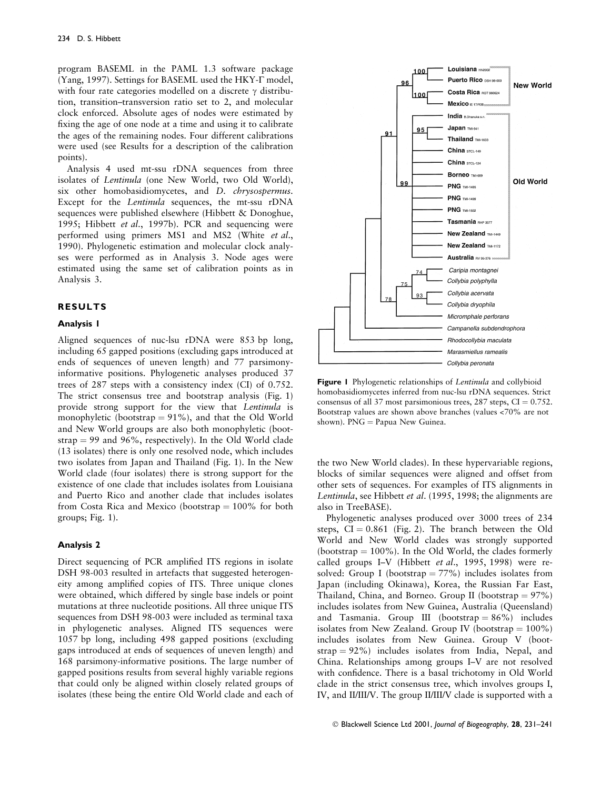program BASEML in the PAML 1.3 software package (Yang, 1997). Settings for BASEML used the HKY-F model, with four rate categories modelled on a discrete  $\gamma$  distribution, transition-transversion ratio set to 2, and molecular clock enforced. Absolute ages of nodes were estimated by fixing the age of one node at a time and using it to calibrate the ages of the remaining nodes. Four different calibrations were used (see Results for a description of the calibration points).

Analysis 4 used mt-ssu rDNA sequences from three isolates of Lentinula (one New World, two Old World), six other homobasidiomycetes, and D. chrysospermus. Except for the *Lentinula* sequences, the mt-ssu rDNA sequences were published elsewhere (Hibbett & Donoghue, 1995; Hibbett et al., 1997b). PCR and sequencing were performed using primers MS1 and MS2 (White et al., 1990). Phylogenetic estimation and molecular clock analyses were performed as in Analysis 3. Node ages were estimated using the same set of calibration points as in Analysis 3.

# **RESULTS**

#### **Analysis I**

Aligned sequences of nuc-lsu rDNA were 853 bp long, including 65 gapped positions (excluding gaps introduced at ends of sequences of uneven length) and 77 parsimonyinformative positions. Phylogenetic analyses produced 37 trees of 287 steps with a consistency index (CI) of 0.752. The strict consensus tree and bootstrap analysis (Fig. 1) provide strong support for the view that Lentinula is monophyletic (bootstrap  $= 91\%$ ), and that the Old World and New World groups are also both monophyletic (bootstrap = 99 and 96%, respectively). In the Old World clade (13 isolates) there is only one resolved node, which includes two isolates from Japan and Thailand (Fig. 1). In the New World clade (four isolates) there is strong support for the existence of one clade that includes isolates from Louisiana and Puerto Rico and another clade that includes isolates from Costa Rica and Mexico (bootstrap =  $100\%$  for both groups; Fig. 1).

#### **Analysis 2**

Direct sequencing of PCR amplified ITS regions in isolate DSH 98-003 resulted in artefacts that suggested heterogeneity among amplified copies of ITS. Three unique clones were obtained, which differed by single base indels or point mutations at three nucleotide positions. All three unique ITS sequences from DSH 98-003 were included as terminal taxa in phylogenetic analyses. Aligned ITS sequences were 1057 bp long, including 498 gapped positions (excluding gaps introduced at ends of sequences of uneven length) and 168 parsimony-informative positions. The large number of gapped positions results from several highly variable regions that could only be aligned within closely related groups of isolates (these being the entire Old World clade and each of



Figure 1 Phylogenetic relationships of *Lentinula* and collybioid homobasidiomycetes inferred from nuc-lsu rDNA sequences. Strict consensus of all 37 most parsimonious trees, 287 steps,  $CI = 0.752$ . Bootstrap values are shown above branches (values <70% are not shown).  $PNG =$  Papua New Guinea.

the two New World clades). In these hypervariable regions, blocks of similar sequences were aligned and offset from other sets of sequences. For examples of ITS alignments in Lentinula, see Hibbett et al. (1995, 1998; the alignments are also in TreeBASE).

Phylogenetic analyses produced over 3000 trees of 234 steps,  $CI = 0.861$  (Fig. 2). The branch between the Old World and New World clades was strongly supported (bootstrap =  $100\%$ ). In the Old World, the clades formerly called groups I-V (Hibbett et al., 1995, 1998) were resolved: Group I (bootstrap =  $77\%$ ) includes isolates from Japan (including Okinawa), Korea, the Russian Far East, Thailand, China, and Borneo. Group II (bootstrap =  $97\%$ ) includes isolates from New Guinea, Australia (Queensland) and Tasmania. Group III (bootstrap =  $86\%$ ) includes isolates from New Zealand. Group IV (bootstrap  $= 100\%$ ) includes isolates from New Guinea. Group V (boot $strap = 92\%$  includes isolates from India. Nepal, and China. Relationships among groups I-V are not resolved with confidence. There is a basal trichotomy in Old World clade in the strict consensus tree, which involves groups I, IV, and II/III/V. The group II/III/V clade is supported with a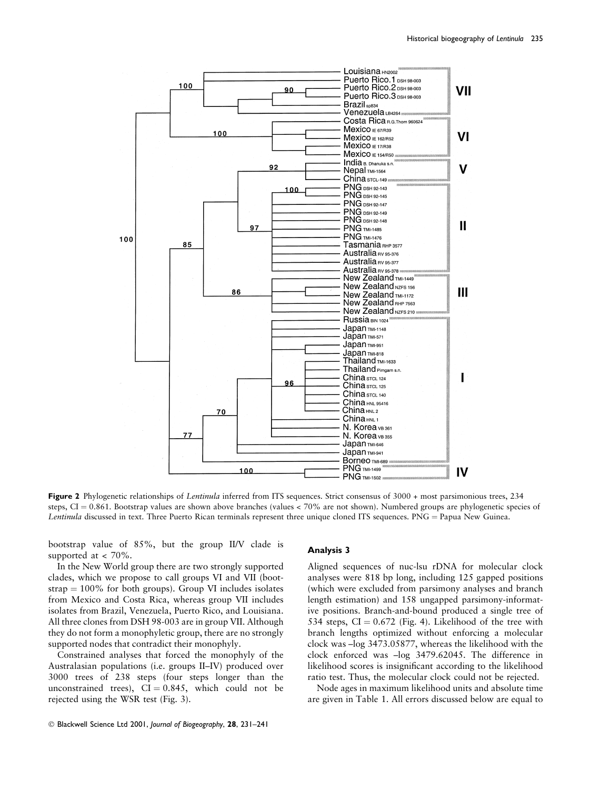

Figure 2 Phylogenetic relationships of Lentinula inferred from ITS sequences. Strict consensus of 3000 + most parsimonious trees, 234 steps,  $CI = 0.861$ . Bootstrap values are shown above branches (values < 70% are not shown). Numbered groups are phylogenetic species of Lentinula discussed in text. Three Puerto Rican terminals represent three unique cloned ITS sequences. PNG = Papua New Guinea.

bootstrap value of 85%, but the group II/V clade is supported at  $<$  70%.

In the New World group there are two strongly supported clades, which we propose to call groups VI and VII (bootstrap =  $100\%$  for both groups). Group VI includes isolates from Mexico and Costa Rica, whereas group VII includes isolates from Brazil, Venezuela, Puerto Rico, and Louisiana. All three clones from DSH 98-003 are in group VII. Although they do not form a monophyletic group, there are no strongly supported nodes that contradict their monophyly.

Constrained analyses that forced the monophyly of the Australasian populations (i.e. groups II–IV) produced over 3000 trees of 238 steps (four steps longer than the unconstrained trees),  $CI = 0.845$ , which could not be rejected using the WSR test (Fig. 3).

#### **Analysis 3**

Aligned sequences of nuc-lsu rDNA for molecular clock analyses were 818 bp long, including 125 gapped positions (which were excluded from parsimony analyses and branch length estimation) and 158 ungapped parsimony-informative positions. Branch-and-bound produced a single tree of 534 steps,  $CI = 0.672$  (Fig. 4). Likelihood of the tree with branch lengths optimized without enforcing a molecular clock was -log 3473.05877, whereas the likelihood with the clock enforced was -log 3479.62045. The difference in likelihood scores is insignificant according to the likelihood ratio test. Thus, the molecular clock could not be rejected.

Node ages in maximum likelihood units and absolute time are given in Table 1. All errors discussed below are equal to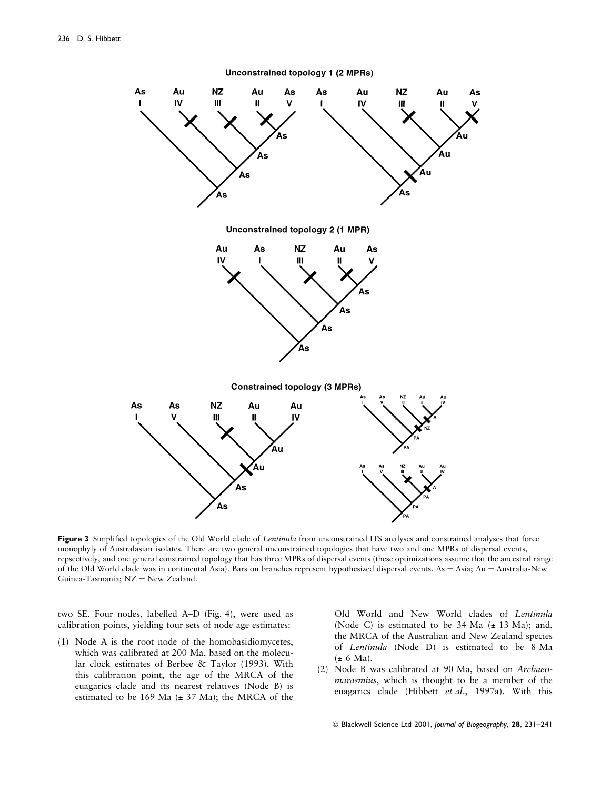

**Unconstrained topology 1 (2 MPRs)** 

Figure 3 Simplified topologies of the Old World clade of Lentinula from unconstrained ITS analyses and constrained analyses that force monophyly of Australasian isolates. There are two general unconstrained topologies that have two and one MPRs of dispersal events, repsectively, and one general constrained topology that has three MPRs of dispersal events (these optimizations assume that the ancestral range of the Old World clade was in continental Asia). Bars on branches represent hypothesized dispersal events. As = Asia; Au = Australia-New Guinea-Tasmania; NZ = New Zealand.

two SE. Four nodes, labelled A-D (Fig. 4), were used as calibration points, yielding four sets of node age estimates:

(1) Node A is the root node of the homobasidiomycetes, which was calibrated at 200 Ma, based on the molecular clock estimates of Berbee & Taylor (1993). With this calibration point, the age of the MRCA of the euagarics clade and its nearest relatives (Node B) is estimated to be 169 Ma  $(\pm 37 \text{ Ma})$ ; the MRCA of the

Old World and New World clades of Lentinula (Node C) is estimated to be  $34$  Ma ( $\pm$  13 Ma); and, the MRCA of the Australian and New Zealand species of Lentinula (Node D) is estimated to be 8 Ma  $(\pm 6$  Ma).

(2) Node B was calibrated at 90 Ma, based on Archaeomarasmius, which is thought to be a member of the euagarics clade (Hibbett et al., 1997a). With this

© Blackwell Science Ltd 2001, Journal of Biogeography, 28, 231-241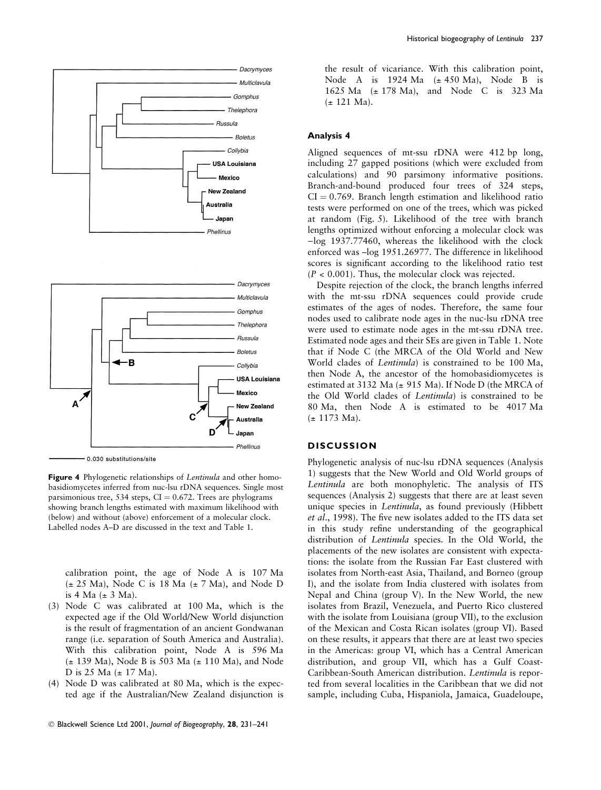

Russula **Boletus** - В Collybia **USA Louisiana** Mexico A **New Zealand Australia** Japan Phellinus - 0.030 substitutions/site

Figure 4 Phylogenetic relationships of *Lentinula* and other homobasidiomycetes inferred from nuc-lsu rDNA sequences. Single most parsimonious tree, 534 steps,  $CI = 0.672$ . Trees are phylograms showing branch lengths estimated with maximum likelihood with (below) and without (above) enforcement of a molecular clock. Labelled nodes A-D are discussed in the text and Table 1.

calibration point, the age of Node A is 107 Ma  $(\pm 25 \text{ Ma})$ , Node C is 18 Ma  $(\pm 7 \text{ Ma})$ , and Node D is 4 Ma  $(\pm 3$  Ma).

- (3) Node C was calibrated at 100 Ma, which is the expected age if the Old World/New World disjunction is the result of fragmentation of an ancient Gondwanan range (i.e. separation of South America and Australia). With this calibration point. Node A is 596 Ma  $(\pm 139 \text{ Ma})$ , Node B is 503 Ma  $(\pm 110 \text{ Ma})$ , and Node D is 25 Ma  $(± 17$  Ma).
- (4) Node D was calibrated at 80 Ma, which is the expected age if the Australian/New Zealand disjunction is

the result of vicariance. With this calibration point, Node A is  $1924 \text{ Ma } (\pm 450 \text{ Ma})$ , Node B is 1625 Ma (± 178 Ma), and Node C is 323 Ma  $(± 121 \text{ Ma}).$ 

# **Analysis 4**

Aligned sequences of mt-ssu rDNA were 412 bp long, including 27 gapped positions (which were excluded from calculations) and 90 parsimony informative positions. Branch-and-bound produced four trees of 324 steps,  $CI = 0.769$ . Branch length estimation and likelihood ratio tests were performed on one of the trees, which was picked at random (Fig. 5). Likelihood of the tree with branch lengths optimized without enforcing a molecular clock was -log 1937.77460, whereas the likelihood with the clock enforced was -log 1951.26977. The difference in likelihood scores is significant according to the likelihood ratio test  $(P < 0.001)$ . Thus, the molecular clock was rejected.

Despite rejection of the clock, the branch lengths inferred with the mt-ssu rDNA sequences could provide crude estimates of the ages of nodes. Therefore, the same four nodes used to calibrate node ages in the nuc-lsu rDNA tree were used to estimate node ages in the mt-ssu rDNA tree. Estimated node ages and their SEs are given in Table 1. Note that if Node C (the MRCA of the Old World and New World clades of *Lentinula*) is constrained to be 100 Ma, then Node A, the ancestor of the homobasidiomycetes is estimated at 3132 Ma (± 915 Ma). If Node D (the MRCA of the Old World clades of Lentinula) is constrained to be 80 Ma, then Node A is estimated to be 4017 Ma  $(± 1173 \text{ Ma}).$ 

#### **DISCUSSION**

Phylogenetic analysis of nuc-lsu rDNA sequences (Analysis 1) suggests that the New World and Old World groups of Lentinula are both monophyletic. The analysis of ITS sequences (Analysis 2) suggests that there are at least seven unique species in Lentinula, as found previously (Hibbett et al., 1998). The five new isolates added to the ITS data set in this study refine understanding of the geographical distribution of Lentinula species. In the Old World, the placements of the new isolates are consistent with expectations: the isolate from the Russian Far East clustered with isolates from North-east Asia, Thailand, and Borneo (group I), and the isolate from India clustered with isolates from Nepal and China (group V). In the New World, the new isolates from Brazil, Venezuela, and Puerto Rico clustered with the isolate from Louisiana (group VII), to the exclusion of the Mexican and Costa Rican isolates (group VI). Based on these results, it appears that there are at least two species in the Americas: group VI, which has a Central American distribution, and group VII, which has a Gulf Coast-Caribbean-South American distribution. Lentinula is reported from several localities in the Caribbean that we did not sample, including Cuba, Hispaniola, Jamaica, Guadeloupe,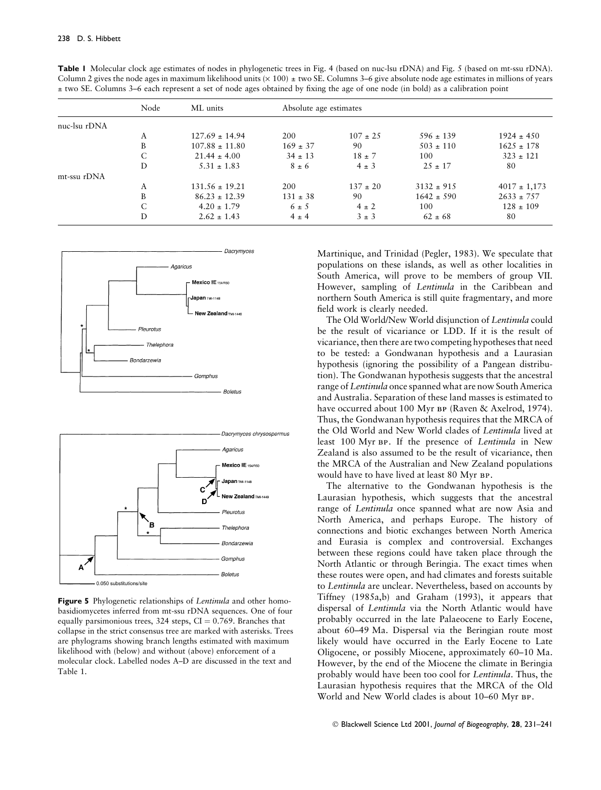|                   | Node | ML units           | Absolute age estimates |               |                |                  |  |
|-------------------|------|--------------------|------------------------|---------------|----------------|------------------|--|
| nuc-lsu rDNA      |      |                    |                        |               |                |                  |  |
|                   | А    | $127.69 \pm 14.94$ | 200                    | $107 \pm 2.5$ | $.596 \pm 139$ | $1924 \pm 450$   |  |
|                   | B    | $107.88 \pm 11.80$ | $169 \pm 37$           | 90            | $503 \pm 110$  | $1625 \pm 178$   |  |
|                   | C    | $21.44 \pm 4.00$   | $34 \pm 13$            | $18 \pm 7$    | 100            | $323 \pm 121$    |  |
|                   | D    | $5.31 \pm 1.83$    | $8 \pm 6$              | $4 \pm 3$     | $2.5 \pm 17$   | 80               |  |
| $mt$ -ssu r $DNA$ |      |                    |                        |               |                |                  |  |
|                   | A    | $131.56 \pm 19.21$ | 200                    | $137 \pm 20$  | $3132 \pm 915$ | $4017 \pm 1,173$ |  |
|                   | B    | $86.23 \pm 12.39$  | $131 \pm 38$           | 90            | $1642 \pm 590$ | $2633 \pm 757$   |  |
|                   | C    | $4.20 \pm 1.79$    | $6 \pm 5$              | $4 \pm 2$     | 100            | $128 \pm 109$    |  |
|                   | D    | $2.62 \pm 1.43$    | $4 \pm 4$              | $3 \pm 3$     | $62 \pm 68$    | 80               |  |

**Table 1** Molecular clock age estimates of nodes in phylogenetic trees in Fig. 4 (based on nuc-lsu rDNA) and Fig. 5 (based on mt-ssu rDNA). Column 2 gives the node ages in maximum likelihood units  $(\times 100)$  ± two SE. Columns 3–6 give absolute node age estimates in millions of years ± two SE. Columns 3–6 each represent a set of node ages obtained by fixing the age of one node (in bold) as a calibration point





Figure 5 Phylogenetic relationships of *Lentinula* and other homobasidiomycetes inferred from mt-ssu rDNA sequences. One of four equally parsimonious trees, 324 steps,  $CI = 0.769$ . Branches that collapse in the strict consensus tree are marked with asterisks. Trees are phylograms showing branch lengths estimated with maximum likelihood with (below) and without (above) enforcement of a molecular clock. Labelled nodes A-D are discussed in the text and Table 1.

Martinique, and Trinidad (Pegler, 1983). We speculate that populations on these islands, as well as other localities in South America, will prove to be members of group VII. However, sampling of Lentinula in the Caribbean and northern South America is still quite fragmentary, and more field work is clearly needed.

The Old World/New World disjunction of Lentinula could be the result of vicariance or LDD. If it is the result of vicariance, then there are two competing hypotheses that need to be tested: a Gondwanan hypothesis and a Laurasian hypothesis (ignoring the possibility of a Pangean distribution). The Gondwanan hypothesis suggests that the ancestral range of Lentinula once spanned what are now South America and Australia. Separation of these land masses is estimated to have occurred about 100 Myr BP (Raven & Axelrod, 1974). Thus, the Gondwanan hypothesis requires that the MRCA of the Old World and New World clades of Lentinula lived at least 100 Myr BP. If the presence of Lentinula in New Zealand is also assumed to be the result of vicariance, then the MRCA of the Australian and New Zealand populations would have to have lived at least 80 Myr BP.

The alternative to the Gondwanan hypothesis is the Laurasian hypothesis, which suggests that the ancestral range of *Lentinula* once spanned what are now Asia and North America, and perhaps Europe. The history of connections and biotic exchanges between North America and Eurasia is complex and controversial. Exchanges between these regions could have taken place through the North Atlantic or through Beringia. The exact times when these routes were open, and had climates and forests suitable to Lentinula are unclear. Nevertheless, based on accounts by Tiffney (1985a,b) and Graham (1993), it appears that dispersal of Lentinula via the North Atlantic would have probably occurred in the late Palaeocene to Early Eocene, about 60-49 Ma. Dispersal via the Beringian route most likely would have occurred in the Early Eocene to Late Oligocene, or possibly Miocene, approximately 60-10 Ma. However, by the end of the Miocene the climate in Beringia probably would have been too cool for Lentinula. Thus, the Laurasian hypothesis requires that the MRCA of the Old World and New World clades is about 10–60 Myr BP.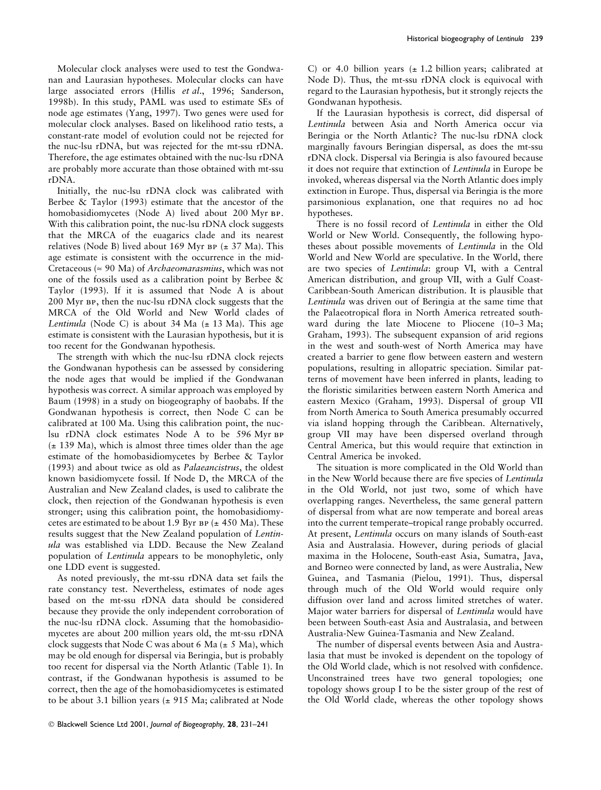Molecular clock analyses were used to test the Gondwanan and Laurasian hypotheses. Molecular clocks can have large associated errors (Hillis et al., 1996; Sanderson, 1998b). In this study, PAML was used to estimate SEs of node age estimates (Yang, 1997). Two genes were used for molecular clock analyses. Based on likelihood ratio tests, a constant-rate model of evolution could not be rejected for the nuc-lsu rDNA, but was rejected for the mt-ssu rDNA. Therefore, the age estimates obtained with the nuc-lsu rDNA are probably more accurate than those obtained with mt-ssu rDNA.

Initially, the nuc-lsu rDNA clock was calibrated with Berbee & Taylor  $(1993)$  estimate that the ancestor of the homobasidiomycetes (Node A) lived about 200 Myr BP. With this calibration point, the nuc-lsu rDNA clock suggests that the MRCA of the euagarics clade and its nearest relatives (Node B) lived about 169 Myr BP ( $\pm$  37 Ma). This age estimate is consistent with the occurrence in the mid-Cretaceous ( $\approx$  90 Ma) of *Archaeomarasmius*, which was not one of the fossils used as a calibration point by Berbee & Taylor (1993). If it is assumed that Node A is about 200 Myr BP, then the nuc-lsu rDNA clock suggests that the MRCA of the Old World and New World clades of *Lentinula* (Node C) is about 34 Ma  $(\pm 13$  Ma). This age estimate is consistent with the Laurasian hypothesis, but it is too recent for the Gondwanan hypothesis.

The strength with which the nuc-lsu rDNA clock rejects the Gondwanan hypothesis can be assessed by considering the node ages that would be implied if the Gondwanan hypothesis was correct. A similar approach was employed by Baum (1998) in a study on biogeography of baobabs. If the Gondwanan hypothesis is correct, then Node C can be calibrated at 100 Ma. Using this calibration point, the nuclsu rDNA clock estimates Node A to be 596 Myr BP  $(\pm 139 \text{ Ma})$ , which is almost three times older than the age estimate of the homobasidiomycetes by Berbee & Taylor (1993) and about twice as old as Palaeancistrus, the oldest known basidiomycete fossil. If Node D, the MRCA of the Australian and New Zealand clades, is used to calibrate the clock, then rejection of the Gondwanan hypothesis is even stronger; using this calibration point, the homobasidiomycetes are estimated to be about 1.9 Byr BP ( $\pm$  450 Ma). These results suggest that the New Zealand population of Lentinula was established via LDD. Because the New Zealand population of Lentinula appears to be monophyletic, only one LDD event is suggested.

As noted previously, the mt-ssu rDNA data set fails the rate constancy test. Nevertheless, estimates of node ages based on the mt-ssu rDNA data should be considered because they provide the only independent corroboration of the nuc-lsu rDNA clock. Assuming that the homobasidiomycetes are about 200 million years old, the mt-ssu rDNA clock suggests that Node C was about 6 Ma  $(\pm 5$  Ma), which may be old enough for dispersal via Beringia, but is probably too recent for dispersal via the North Atlantic (Table 1). In contrast, if the Gondwanan hypothesis is assumed to be correct, then the age of the homobasidiomycetes is estimated to be about 3.1 billion years  $(\pm 915 \text{ Ma}; \text{calibrated at Node})$ 

C) or 4.0 billion years  $(\pm 1.2)$  billion years; calibrated at Node D). Thus, the mt-ssu rDNA clock is equivocal with regard to the Laurasian hypothesis, but it strongly rejects the Gondwanan hypothesis.

If the Laurasian hypothesis is correct, did dispersal of Lentinula between Asia and North America occur via Beringia or the North Atlantic? The nuc-lsu rDNA clock marginally favours Beringian dispersal, as does the mt-ssu rDNA clock. Dispersal via Beringia is also favoured because it does not require that extinction of *Lentinula* in Europe be invoked, whereas dispersal via the North Atlantic does imply extinction in Europe. Thus, dispersal via Beringia is the more parsimonious explanation, one that requires no ad hoc hypotheses.

There is no fossil record of Lentinula in either the Old World or New World. Consequently, the following hypotheses about possible movements of Lentinula in the Old World and New World are speculative. In the World, there are two species of *Lentinula*: group VI, with a Central American distribution, and group VII, with a Gulf Coast-Caribbean-South American distribution. It is plausible that Lentinula was driven out of Beringia at the same time that the Palaeotropical flora in North America retreated southward during the late Miocene to Pliocene (10-3 Ma: Graham, 1993). The subsequent expansion of arid regions in the west and south-west of North America may have created a barrier to gene flow between eastern and western populations, resulting in allopatric speciation. Similar patterns of movement have been inferred in plants, leading to the floristic similarities between eastern North America and eastern Mexico (Graham, 1993). Dispersal of group VII from North America to South America presumably occurred via island hopping through the Caribbean. Alternatively, group VII may have been dispersed overland through Central America, but this would require that extinction in Central America be invoked.

The situation is more complicated in the Old World than in the New World because there are five species of Lentinula in the Old World, not just two, some of which have overlapping ranges. Nevertheless, the same general pattern of dispersal from what are now temperate and boreal areas into the current temperate-tropical range probably occurred. At present, *Lentinula* occurs on many islands of South-east Asia and Australasia. However, during periods of glacial maxima in the Holocene, South-east Asia, Sumatra, Java, and Borneo were connected by land, as were Australia, New Guinea, and Tasmania (Pielou, 1991). Thus, dispersal through much of the Old World would require only diffusion over land and across limited stretches of water. Major water barriers for dispersal of Lentinula would have been between South-east Asia and Australasia, and between Australia-New Guinea-Tasmania and New Zealand.

The number of dispersal events between Asia and Australasia that must be invoked is dependent on the topology of the Old World clade, which is not resolved with confidence. Unconstrained trees have two general topologies; one topology shows group I to be the sister group of the rest of the Old World clade, whereas the other topology shows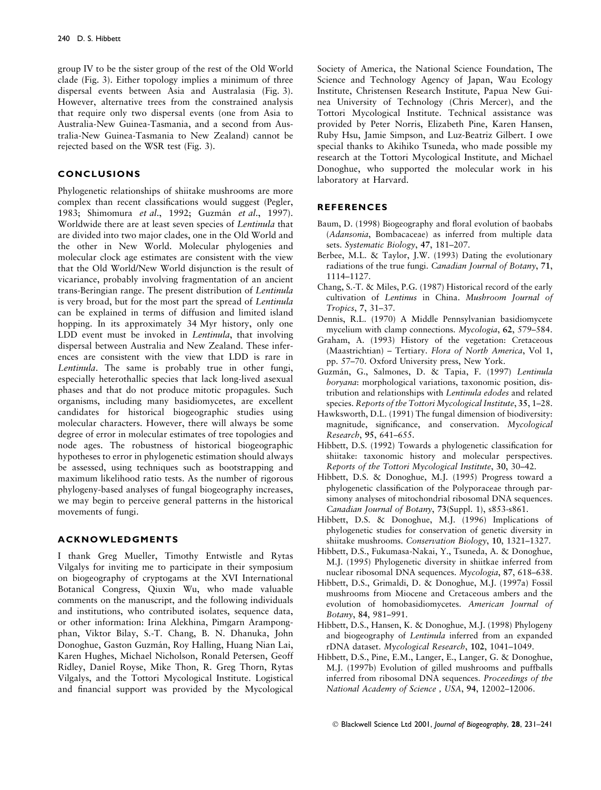group IV to be the sister group of the rest of the Old World clade (Fig. 3). Either topology implies a minimum of three dispersal events between Asia and Australasia (Fig. 3). However, alternative trees from the constrained analysis that require only two dispersal events (one from Asia to Australia-New Guinea-Tasmania, and a second from Australia-New Guinea-Tasmania to New Zealand) cannot be rejected based on the WSR test (Fig. 3).

#### **CONCLUSIONS**

Phylogenetic relationships of shiitake mushrooms are more complex than recent classifications would suggest (Pegler, 1983; Shimomura et al., 1992; Guzmán et al., 1997). Worldwide there are at least seven species of Lentinula that are divided into two major clades, one in the Old World and the other in New World. Molecular phylogenies and molecular clock age estimates are consistent with the view that the Old World/New World disiunction is the result of vicariance, probably involving fragmentation of an ancient trans-Beringian range. The present distribution of Lentinula is very broad, but for the most part the spread of Lentinula can be explained in terms of diffusion and limited island hopping. In its approximately 34 Myr history, only one LDD event must be invoked in *Lentinula*, that involving dispersal between Australia and New Zealand. These inferences are consistent with the view that LDD is rare in Lentinula. The same is probably true in other fungi, especially heterothallic species that lack long-lived asexual phases and that do not produce mitotic propagules. Such organisms, including many basidiomycetes, are excellent candidates for historical biogeographic studies using molecular characters. However, there will always be some degree of error in molecular estimates of tree topologies and node ages. The robustness of historical biogeographic hypotheses to error in phylogenetic estimation should always be assessed, using techniques such as bootstrapping and maximum likelihood ratio tests. As the number of rigorous phylogeny-based analyses of fungal biogeography increases, we may begin to perceive general patterns in the historical movements of fungi.

# **ACKNOWLEDGMENTS**

I thank Greg Mueller, Timothy Entwistle and Rytas Vilgalys for inviting me to participate in their symposium on biogeography of cryptogams at the XVI International Botanical Congress, Qiuxin Wu, who made valuable comments on the manuscript, and the following individuals and institutions, who contributed isolates, sequence data, or other information: Irina Alekhina, Pimgarn Arampongphan, Viktor Bilay, S.-T. Chang, B. N. Dhanuka, John Donoghue, Gaston Guzmán, Roy Halling, Huang Nian Lai, Karen Hughes, Michael Nicholson, Ronald Petersen, Geoff Ridley, Daniel Royse, Mike Thon, R. Greg Thorn, Rytas Vilgalys, and the Tottori Mycological Institute. Logistical and financial support was provided by the Mycological Society of America, the National Science Foundation, The Science and Technology Agency of Japan, Wau Ecology Institute, Christensen Research Institute, Papua New Guinea University of Technology (Chris Mercer), and the Tottori Mycological Institute. Technical assistance was provided by Peter Norris, Elizabeth Pine, Karen Hansen, Ruby Hsu, Jamie Simpson, and Luz-Beatriz Gilbert. I owe special thanks to Akihiko Tsuneda, who made possible my research at the Tottori Mycological Institute, and Michael Donoghue, who supported the molecular work in his laboratory at Harvard.

## **REFERENCES**

- Baum, D. (1998) Biogeography and floral evolution of baobabs (Adansonia, Bombacaceae) as inferred from multiple data sets. Systematic Biology, 47, 181-207.
- Berbee, M.L. & Taylor, J.W. (1993) Dating the evolutionary radiations of the true fungi. Canadian Journal of Botany, 71, 1114-1127.
- Chang, S.-T. & Miles, P.G. (1987) Historical record of the early cultivation of Lentinus in China. Mushroom Journal of Tropics, 7, 31-37.
- Dennis, R.L. (1970) A Middle Pennsylvanian basidiomycete mycelium with clamp connections. Mycologia, 62, 579–584.
- Graham, A. (1993) History of the vegetation: Cretaceous (Maastrichtian) - Tertiary. Flora of North America, Vol 1, pp. 57-70. Oxford University press, New York.
- Guzmán, G., Salmones, D. & Tapia, F. (1997) Lentinula boryana: morphological variations, taxonomic position, distribution and relationships with Lentinula edodes and related species. Reports of the Tottori Mycological Institute, 35, 1–28.
- Hawksworth, D.L. (1991) The fungal dimension of biodiversity: magnitude, significance, and conservation. Mycological Research, 95, 641-655.
- Hibbett, D.S. (1992) Towards a phylogenetic classification for shiitake: taxonomic history and molecular perspectives. Reports of the Tottori Mycological Institute, 30, 30-42.
- Hibbett, D.S. & Donoghue, M.J. (1995) Progress toward a phylogenetic classification of the Polyporaceae through parsimony analyses of mitochondrial ribosomal DNA sequences. Canadian Journal of Botany, 73(Suppl. 1), s853-s861.
- Hibbett, D.S. & Donoghue, M.J. (1996) Implications of phylogenetic studies for conservation of genetic diversity in shiitake mushrooms. Conservation Biology, 10, 1321-1327.
- Hibbett, D.S., Fukumasa-Nakai, Y., Tsuneda, A. & Donoghue, M.J. (1995) Phylogenetic diversity in shiitkae inferred from nuclear ribosomal DNA sequences. Mycologia, 87, 618-638.
- Hibbett, D.S., Grimaldi, D. & Donoghue, M.J. (1997a) Fossil mushrooms from Miocene and Cretaceous ambers and the evolution of homobasidiomycetes. American Journal of Botany, 84, 981-991.
- Hibbett, D.S., Hansen, K. & Donoghue, M.J. (1998) Phylogeny and biogeography of Lentinula inferred from an expanded rDNA dataset. Mycological Research, 102, 1041-1049.
- Hibbett, D.S., Pine, E.M., Langer, E., Langer, G. & Donoghue, M.J. (1997b) Evolution of gilled mushrooms and puffballs inferred from ribosomal DNA sequences. Proceedings of the National Academy of Science, USA, 94, 12002-12006.

© Blackwell Science Ltd 2001, Journal of Biogeography, 28, 231-241